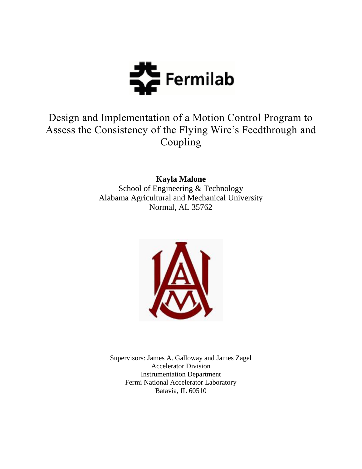

# Design and Implementation of a Motion Control Program to Assess the Consistency of the Flying Wire"s Feedthrough and Coupling

**Kayla Malone** School of Engineering & Technology Alabama Agricultural and Mechanical University Normal, AL 35762



Supervisors: James A. Galloway and James Zagel Accelerator Division Instrumentation Department Fermi National Accelerator Laboratory Batavia, IL 60510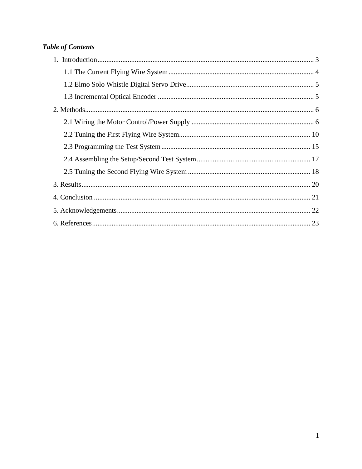## **Table of Contents**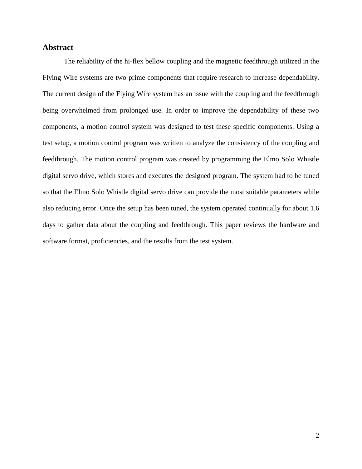## **Abstract**

The reliability of the hi-flex bellow coupling and the magnetic feedthrough utilized in the Flying Wire systems are two prime components that require research to increase dependability. The current design of the Flying Wire system has an issue with the coupling and the feedthrough being overwhelmed from prolonged use. In order to improve the dependability of these two components, a motion control system was designed to test these specific components. Using a test setup, a motion control program was written to analyze the consistency of the coupling and feedthrough. The motion control program was created by programming the Elmo Solo Whistle digital servo drive, which stores and executes the designed program. The system had to be tuned so that the Elmo Solo Whistle digital servo drive can provide the most suitable parameters while also reducing error. Once the setup has been tuned, the system operated continually for about 1.6 days to gather data about the coupling and feedthrough. This paper reviews the hardware and software format, proficiencies, and the results from the test system.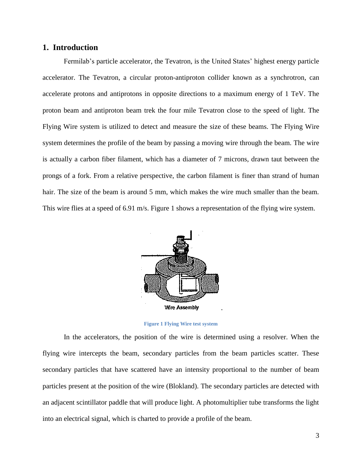## <span id="page-3-0"></span>**1. Introduction**

Fermilab's particle accelerator, the Tevatron, is the United States' highest energy particle accelerator. The Tevatron, a circular proton-antiproton collider known as a synchrotron, can accelerate protons and antiprotons in opposite directions to a maximum energy of 1 TeV. The proton beam and antiproton beam trek the four mile Tevatron close to the speed of light. The Flying Wire system is utilized to detect and measure the size of these beams. The Flying Wire system determines the profile of the beam by passing a moving wire through the beam. The wire is actually a carbon fiber filament, which has a diameter of 7 microns, drawn taut between the prongs of a fork. From a relative perspective, the carbon filament is finer than strand of human hair. The size of the beam is around 5 mm, which makes the wire much smaller than the beam. This wire flies at a speed of 6.91 m/s. Figure 1 shows a representation of the flying wire system.



**Figure 1 Flying Wire test system**

In the accelerators, the position of the wire is determined using a resolver. When the flying wire intercepts the beam, secondary particles from the beam particles scatter. These secondary particles that have scattered have an intensity proportional to the number of beam particles present at the position of the wire (Blokland). The secondary particles are detected with an adjacent scintillator paddle that will produce light. A photomultiplier tube transforms the light into an electrical signal, which is charted to provide a profile of the beam.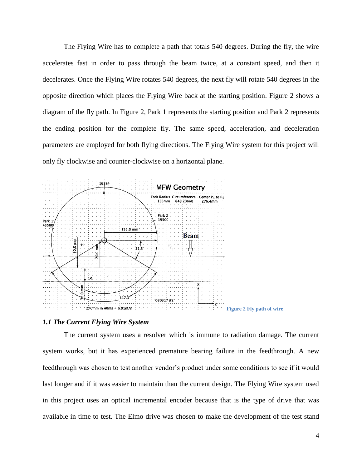The Flying Wire has to complete a path that totals 540 degrees. During the fly, the wire accelerates fast in order to pass through the beam twice, at a constant speed, and then it decelerates. Once the Flying Wire rotates 540 degrees, the next fly will rotate 540 degrees in the opposite direction which places the Flying Wire back at the starting position. Figure 2 shows a diagram of the fly path. In Figure 2, Park 1 represents the starting position and Park 2 represents the ending position for the complete fly. The same speed, acceleration, and deceleration parameters are employed for both flying directions. The Flying Wire system for this project will only fly clockwise and counter-clockwise on a horizontal plane.



#### <span id="page-4-0"></span>*1.1 The Current Flying Wire System*

The current system uses a resolver which is immune to radiation damage. The current system works, but it has experienced premature bearing failure in the feedthrough. A new feedthrough was chosen to test another vendor"s product under some conditions to see if it would last longer and if it was easier to maintain than the current design. The Flying Wire system used in this project uses an optical incremental encoder because that is the type of drive that was available in time to test. The Elmo drive was chosen to make the development of the test stand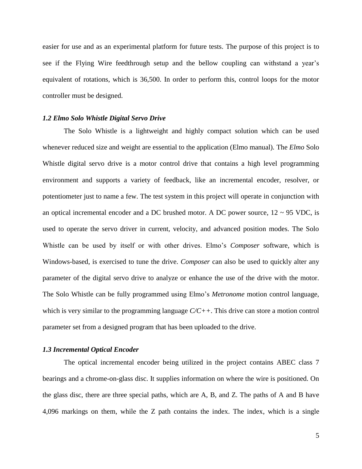easier for use and as an experimental platform for future tests. The purpose of this project is to see if the Flying Wire feedthrough setup and the bellow coupling can withstand a year's equivalent of rotations, which is 36,500. In order to perform this, control loops for the motor controller must be designed.

#### <span id="page-5-0"></span>*1.2 Elmo Solo Whistle Digital Servo Drive*

The Solo Whistle is a lightweight and highly compact solution which can be used whenever reduced size and weight are essential to the application (Elmo manual). The *Elmo* Solo Whistle digital servo drive is a motor control drive that contains a high level programming environment and supports a variety of feedback, like an incremental encoder, resolver, or potentiometer just to name a few. The test system in this project will operate in conjunction with an optical incremental encoder and a DC brushed motor. A DC power source,  $12 \sim 95$  VDC, is used to operate the servo driver in current, velocity, and advanced position modes. The Solo Whistle can be used by itself or with other drives. Elmo"s *Composer* software, which is Windows-based, is exercised to tune the drive. *Composer* can also be used to quickly alter any parameter of the digital servo drive to analyze or enhance the use of the drive with the motor. The Solo Whistle can be fully programmed using Elmo"s *Metronome* motion control language, which is very similar to the programming language *C/C++*. This drive can store a motion control parameter set from a designed program that has been uploaded to the drive.

#### <span id="page-5-1"></span>*1.3 Incremental Optical Encoder*

The optical incremental encoder being utilized in the project contains ABEC class 7 bearings and a chrome-on-glass disc. It supplies information on where the wire is positioned. On the glass disc, there are three special paths, which are A, B, and Z. The paths of A and B have 4,096 markings on them, while the Z path contains the index. The index, which is a single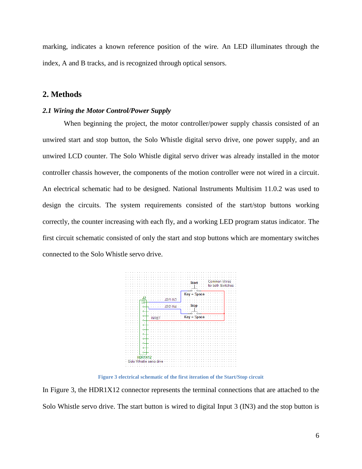marking, indicates a known reference position of the wire. An LED illuminates through the index, A and B tracks, and is recognized through optical sensors.

## <span id="page-6-0"></span>**2. Methods**

#### <span id="page-6-1"></span>*2.1 Wiring the Motor Control/Power Supply*

When beginning the project, the motor controller/power supply chassis consisted of an unwired start and stop button, the Solo Whistle digital servo drive, one power supply, and an unwired LCD counter. The Solo Whistle digital servo driver was already installed in the motor controller chassis however, the components of the motion controller were not wired in a circuit. An electrical schematic had to be designed. National Instruments Multisim 11.0.2 was used to design the circuits. The system requirements consisted of the start/stop buttons working correctly, the counter increasing with each fly, and a working LED program status indicator. The first circuit schematic consisted of only the start and stop buttons which are momentary switches connected to the Solo Whistle servo drive.



**Figure 3 electrical schematic of the first iteration of the Start/Stop circuit**

In Figure 3, the HDR1X12 connector represents the terminal connections that are attached to the Solo Whistle servo drive. The start button is wired to digital Input 3 (IN3) and the stop button is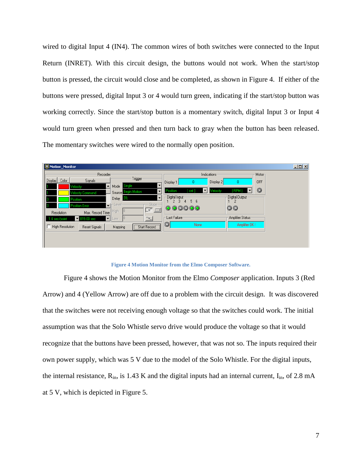wired to digital Input 4 (IN4). The common wires of both switches were connected to the Input Return (INRET). With this circuit design, the buttons would not work. When the start/stop button is pressed, the circuit would close and be completed, as shown in Figure 4. If either of the buttons were pressed, digital Input 3 or 4 would turn green, indicating if the start/stop button was working correctly. Since the start/stop button is a momentary switch, digital Input 3 or Input 4 would turn green when pressed and then turn back to gray when the button has been released. The momentary switches were wired to the normally open position.



**Figure 4 Motion Monitor from the Elmo Composer Software.**

Figure 4 shows the Motion Monitor from the Elmo *Composer* application. Inputs 3 (Red Arrow) and 4 (Yellow Arrow) are off due to a problem with the circuit design. It was discovered that the switches were not receiving enough voltage so that the switches could work. The initial assumption was that the Solo Whistle servo drive would produce the voltage so that it would recognize that the buttons have been pressed, however, that was not so. The inputs required their own power supply, which was 5 V due to the model of the Solo Whistle. For the digital inputs, the internal resistance,  $R_{in}$ , is 1.43 K and the digital inputs had an internal current,  $I_{in}$ , of 2.8 mA at 5 V, which is depicted in Figure 5.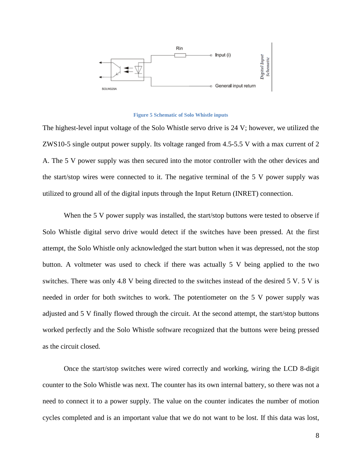

#### **Figure 5 Schematic of Solo Whistle inputs**

The highest-level input voltage of the Solo Whistle servo drive is 24 V; however, we utilized the ZWS10-5 single output power supply. Its voltage ranged from 4.5-5.5 V with a max current of 2 A. The 5 V power supply was then secured into the motor controller with the other devices and the start/stop wires were connected to it. The negative terminal of the 5 V power supply was utilized to ground all of the digital inputs through the Input Return (INRET) connection.

When the 5 V power supply was installed, the start/stop buttons were tested to observe if Solo Whistle digital servo drive would detect if the switches have been pressed. At the first attempt, the Solo Whistle only acknowledged the start button when it was depressed, not the stop button. A voltmeter was used to check if there was actually 5 V being applied to the two switches. There was only 4.8 V being directed to the switches instead of the desired 5 V. 5 V is needed in order for both switches to work. The potentiometer on the 5 V power supply was adjusted and 5 V finally flowed through the circuit. At the second attempt, the start/stop buttons worked perfectly and the Solo Whistle software recognized that the buttons were being pressed as the circuit closed.

Once the start/stop switches were wired correctly and working, wiring the LCD 8-digit counter to the Solo Whistle was next. The counter has its own internal battery, so there was not a need to connect it to a power supply. The value on the counter indicates the number of motion cycles completed and is an important value that we do not want to be lost. If this data was lost,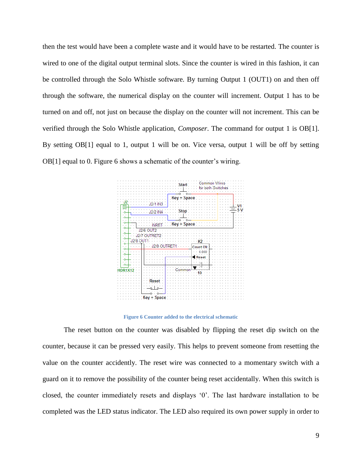then the test would have been a complete waste and it would have to be restarted. The counter is wired to one of the digital output terminal slots. Since the counter is wired in this fashion, it can be controlled through the Solo Whistle software. By turning Output 1 (OUT1) on and then off through the software, the numerical display on the counter will increment. Output 1 has to be turned on and off, not just on because the display on the counter will not increment. This can be verified through the Solo Whistle application, *Composer*. The command for output 1 is OB[1]. By setting OB[1] equal to 1, output 1 will be on. Vice versa, output 1 will be off by setting OB[1] equal to 0. Figure 6 shows a schematic of the counter's wiring.



**Figure 6 Counter added to the electrical schematic**

The reset button on the counter was disabled by flipping the reset dip switch on the counter, because it can be pressed very easily. This helps to prevent someone from resetting the value on the counter accidently. The reset wire was connected to a momentary switch with a guard on it to remove the possibility of the counter being reset accidentally. When this switch is closed, the counter immediately resets and displays "0". The last hardware installation to be completed was the LED status indicator. The LED also required its own power supply in order to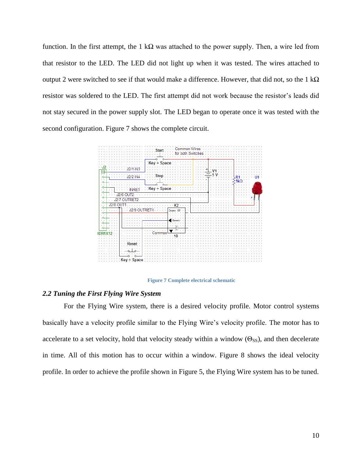function. In the first attempt, the 1 k $\Omega$  was attached to the power supply. Then, a wire led from that resistor to the LED. The LED did not light up when it was tested. The wires attached to output 2 were switched to see if that would make a difference. However, that did not, so the 1 k $\Omega$ resistor was soldered to the LED. The first attempt did not work because the resistor's leads did not stay secured in the power supply slot. The LED began to operate once it was tested with the second configuration. Figure 7 shows the complete circuit.



**Figure 7 Complete electrical schematic**

## <span id="page-10-0"></span>*2.2 Tuning the First Flying Wire System*

For the Flying Wire system, there is a desired velocity profile. Motor control systems basically have a velocity profile similar to the Flying Wire"s velocity profile. The motor has to accelerate to a set velocity, hold that velocity steady within a window ( $\Theta$ <sub>SS</sub>), and then decelerate in time. All of this motion has to occur within a window. Figure 8 shows the ideal velocity profile. In order to achieve the profile shown in Figure 5, the Flying Wire system has to be tuned.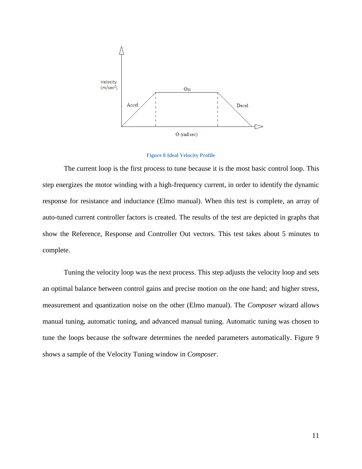

**Figure 8 Ideal Velocity Profile**

The current loop is the first process to tune because it is the most basic control loop. This step energizes the motor winding with a high-frequency current, in order to identify the dynamic response for resistance and inductance (Elmo manual). When this test is complete, an array of auto-tuned current controller factors is created. The results of the test are depicted in graphs that show the Reference, Response and Controller Out vectors. This test takes about 5 minutes to complete.

Tuning the velocity loop was the next process. This step adjusts the velocity loop and sets an optimal balance between control gains and precise motion on the one hand; and higher stress, measurement and quantization noise on the other (Elmo manual). The *Composer* wizard allows manual tuning, automatic tuning, and advanced manual tuning. Automatic tuning was chosen to tune the loops because the software determines the needed parameters automatically. Figure 9 shows a sample of the Velocity Tuning window in *Composer*.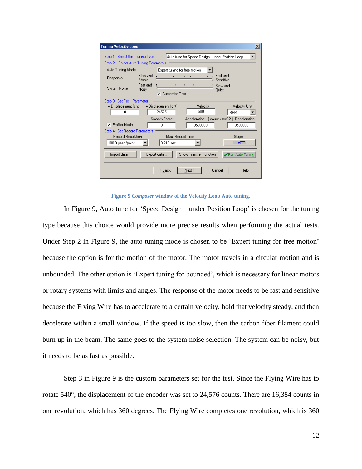| <b>Tuning Velocity Loop</b>                                               |                    |                               |                                                                 |                       | $\vert x \vert$                          |  |
|---------------------------------------------------------------------------|--------------------|-------------------------------|-----------------------------------------------------------------|-----------------------|------------------------------------------|--|
| Step 1 : Select the Tuning Type<br>Step 2 : Select Auto Tuning Parameters |                    |                               | Auto tune for Speed Design - under Position Loop                |                       |                                          |  |
| Auto Tuning Mode                                                          |                    |                               | Expert tuning for free motion                                   |                       |                                          |  |
| Response                                                                  | Slow and<br>Stable | <b>CONTRACTOR</b>             | $\mathbf{r}$<br>$\mathbf{1}$ , and $\mathbf{1}$<br>$\mathbf{I}$ | Fast and<br>Sensitive |                                          |  |
| System Noise                                                              | Fast and<br>Noisy  | Customize Test<br>⊽           | $\sim 100$<br>$\blacksquare$                                    | Slow and<br>Quiet     |                                          |  |
| Step 3 : Set Test Parameters                                              |                    |                               |                                                                 |                       |                                          |  |
| -- Displacement [cnt]<br>0                                                |                    | + Displacement [cnt]<br>24575 | Velocity<br>500                                                 |                       | <b>Velocity Unit</b><br><b>RPM</b>       |  |
|                                                                           |                    | Smooth Factor                 |                                                                 |                       | Acceleration [count /sec^2] Deceleration |  |
| Profiler Mode<br>⊽                                                        |                    | 0                             | 3500000                                                         |                       | 3500000                                  |  |
| Step 4 : Set Record Parameters                                            |                    |                               |                                                                 |                       |                                          |  |
| <b>Record Resolution</b>                                                  |                    |                               | Max, Record Time                                                |                       | Slope                                    |  |
| 180.0 usec/point                                                          |                    | 0.216 <sub>sec</sub>          |                                                                 |                       |                                          |  |
| Show Transfer Function<br>Import data<br>Export data<br>Run Auto Tuning   |                    |                               |                                                                 |                       |                                          |  |
|                                                                           |                    | < Back                        | Next >                                                          | Cancel                | Help                                     |  |

**Figure 9** *Composer* **window of the Velocity Loop Auto tuning.**

In Figure 9, Auto tune for "Speed Design—under Position Loop" is chosen for the tuning type because this choice would provide more precise results when performing the actual tests. Under Step 2 in Figure 9, the auto tuning mode is chosen to be 'Expert tuning for free motion' because the option is for the motion of the motor. The motor travels in a circular motion and is unbounded. The other option is "Expert tuning for bounded", which is necessary for linear motors or rotary systems with limits and angles. The response of the motor needs to be fast and sensitive because the Flying Wire has to accelerate to a certain velocity, hold that velocity steady, and then decelerate within a small window. If the speed is too slow, then the carbon fiber filament could burn up in the beam. The same goes to the system noise selection. The system can be noisy, but it needs to be as fast as possible.

Step 3 in Figure 9 is the custom parameters set for the test. Since the Flying Wire has to rotate 540°, the displacement of the encoder was set to 24,576 counts. There are 16,384 counts in one revolution, which has 360 degrees. The Flying Wire completes one revolution, which is 360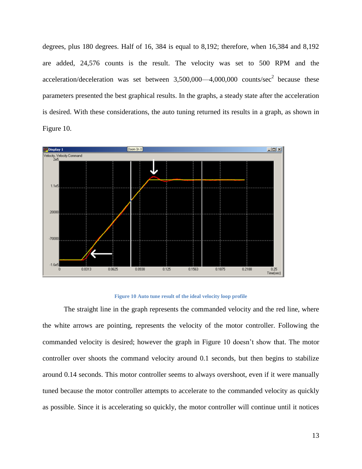degrees, plus 180 degrees. Half of 16, 384 is equal to 8,192; therefore, when 16,384 and 8,192 are added, 24,576 counts is the result. The velocity was set to 500 RPM and the acceleration/deceleration was set between  $3,500,000$ —4,000,000 counts/sec<sup>2</sup> because these parameters presented the best graphical results. In the graphs, a steady state after the acceleration is desired. With these considerations, the auto tuning returned its results in a graph, as shown in Figure 10.



#### **Figure 10 Auto tune result of the ideal velocity loop profile**

The straight line in the graph represents the commanded velocity and the red line, where the white arrows are pointing, represents the velocity of the motor controller. Following the commanded velocity is desired; however the graph in Figure 10 doesn"t show that. The motor controller over shoots the command velocity around 0.1 seconds, but then begins to stabilize around 0.14 seconds. This motor controller seems to always overshoot, even if it were manually tuned because the motor controller attempts to accelerate to the commanded velocity as quickly as possible. Since it is accelerating so quickly, the motor controller will continue until it notices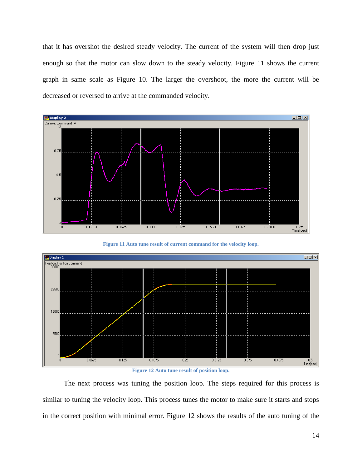that it has overshot the desired steady velocity. The current of the system will then drop just enough so that the motor can slow down to the steady velocity. Figure 11 shows the current graph in same scale as Figure 10. The larger the overshoot, the more the current will be decreased or reversed to arrive at the commanded velocity.



**Figure 11 Auto tune result of current command for the velocity loop.**



**Figure 12 Auto tune result of position loop.**

The next process was tuning the position loop. The steps required for this process is similar to tuning the velocity loop. This process tunes the motor to make sure it starts and stops in the correct position with minimal error. Figure 12 shows the results of the auto tuning of the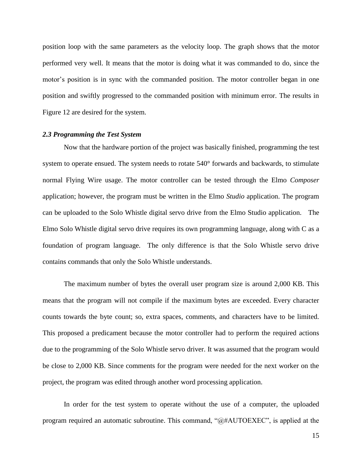position loop with the same parameters as the velocity loop. The graph shows that the motor performed very well. It means that the motor is doing what it was commanded to do, since the motor"s position is in sync with the commanded position. The motor controller began in one position and swiftly progressed to the commanded position with minimum error. The results in Figure 12 are desired for the system.

#### <span id="page-15-0"></span>*2.3 Programming the Test System*

Now that the hardware portion of the project was basically finished, programming the test system to operate ensued. The system needs to rotate 540° forwards and backwards, to stimulate normal Flying Wire usage. The motor controller can be tested through the Elmo *Composer* application; however, the program must be written in the Elmo *Studio* application. The program can be uploaded to the Solo Whistle digital servo drive from the Elmo Studio application. The Elmo Solo Whistle digital servo drive requires its own programming language, along with C as a foundation of program language. The only difference is that the Solo Whistle servo drive contains commands that only the Solo Whistle understands.

The maximum number of bytes the overall user program size is around 2,000 KB. This means that the program will not compile if the maximum bytes are exceeded. Every character counts towards the byte count; so, extra spaces, comments, and characters have to be limited. This proposed a predicament because the motor controller had to perform the required actions due to the programming of the Solo Whistle servo driver. It was assumed that the program would be close to 2,000 KB. Since comments for the program were needed for the next worker on the project, the program was edited through another word processing application.

In order for the test system to operate without the use of a computer, the uploaded program required an automatic subroutine. This command, "@#AUTOEXEC", is applied at the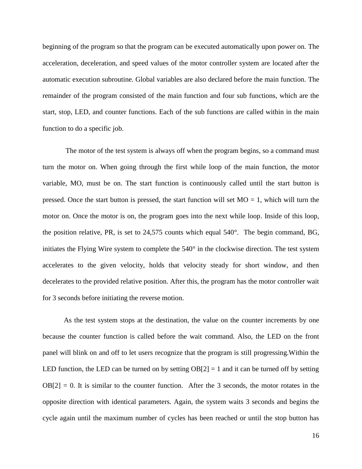beginning of the program so that the program can be executed automatically upon power on. The acceleration, deceleration, and speed values of the motor controller system are located after the automatic execution subroutine. Global variables are also declared before the main function. The remainder of the program consisted of the main function and four sub functions, which are the start, stop, LED, and counter functions. Each of the sub functions are called within in the main function to do a specific job.

The motor of the test system is always off when the program begins, so a command must turn the motor on. When going through the first while loop of the main function, the motor variable, MO, must be on. The start function is continuously called until the start button is pressed. Once the start button is pressed, the start function will set  $MO = 1$ , which will turn the motor on. Once the motor is on, the program goes into the next while loop. Inside of this loop, the position relative, PR, is set to 24,575 counts which equal 540°. The begin command, BG, initiates the Flying Wire system to complete the 540° in the clockwise direction. The test system accelerates to the given velocity, holds that velocity steady for short window, and then decelerates to the provided relative position. After this, the program has the motor controller wait for 3 seconds before initiating the reverse motion.

As the test system stops at the destination, the value on the counter increments by one because the counter function is called before the wait command. Also, the LED on the front panel will blink on and off to let users recognize that the program is still progressing.Within the LED function, the LED can be turned on by setting  $OB[2] = 1$  and it can be turned off by setting  $OB[2] = 0$ . It is similar to the counter function. After the 3 seconds, the motor rotates in the opposite direction with identical parameters. Again, the system waits 3 seconds and begins the cycle again until the maximum number of cycles has been reached or until the stop button has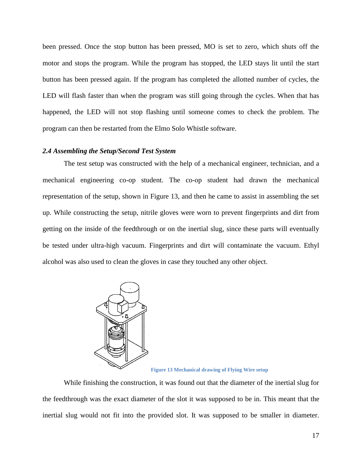been pressed. Once the stop button has been pressed, MO is set to zero, which shuts off the motor and stops the program. While the program has stopped, the LED stays lit until the start button has been pressed again. If the program has completed the allotted number of cycles, the LED will flash faster than when the program was still going through the cycles. When that has happened, the LED will not stop flashing until someone comes to check the problem. The program can then be restarted from the Elmo Solo Whistle software.

### <span id="page-17-0"></span>*2.4 Assembling the Setup/Second Test System*

The test setup was constructed with the help of a mechanical engineer, technician, and a mechanical engineering co-op student. The co-op student had drawn the mechanical representation of the setup, shown in Figure 13, and then he came to assist in assembling the set up. While constructing the setup, nitrile gloves were worn to prevent fingerprints and dirt from getting on the inside of the feedthrough or on the inertial slug, since these parts will eventually be tested under ultra-high vacuum. Fingerprints and dirt will contaminate the vacuum. Ethyl alcohol was also used to clean the gloves in case they touched any other object.



**Figure 13 Mechanical drawing of Flying Wire setup**

While finishing the construction, it was found out that the diameter of the inertial slug for the feedthrough was the exact diameter of the slot it was supposed to be in. This meant that the inertial slug would not fit into the provided slot. It was supposed to be smaller in diameter.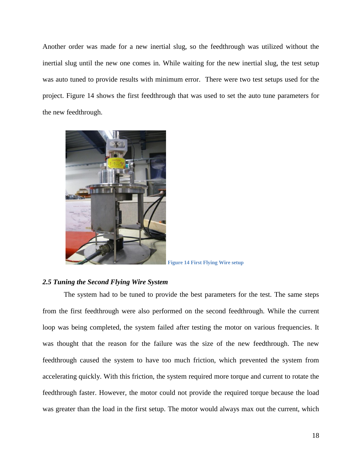Another order was made for a new inertial slug, so the feedthrough was utilized without the inertial slug until the new one comes in. While waiting for the new inertial slug, the test setup was auto tuned to provide results with minimum error. There were two test setups used for the project. Figure 14 shows the first feedthrough that was used to set the auto tune parameters for the new feedthrough.



**Figure 14 First Flying Wire setup**

### <span id="page-18-0"></span>*2.5 Tuning the Second Flying Wire System*

The system had to be tuned to provide the best parameters for the test. The same steps from the first feedthrough were also performed on the second feedthrough. While the current loop was being completed, the system failed after testing the motor on various frequencies. It was thought that the reason for the failure was the size of the new feedthrough. The new feedthrough caused the system to have too much friction, which prevented the system from accelerating quickly. With this friction, the system required more torque and current to rotate the feedthrough faster. However, the motor could not provide the required torque because the load was greater than the load in the first setup. The motor would always max out the current, which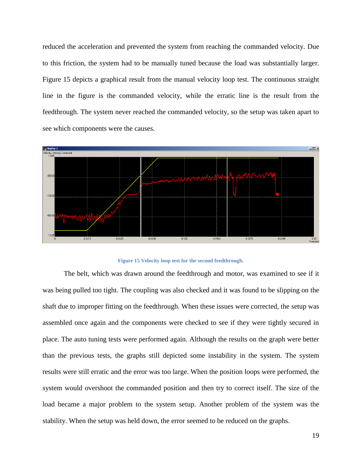reduced the acceleration and prevented the system from reaching the commanded velocity. Due to this friction, the system had to be manually tuned because the load was substantially larger. Figure 15 depicts a graphical result from the manual velocity loop test. The continuous straight line in the figure is the commanded velocity, while the erratic line is the result from the feedthrough. The system never reached the commanded velocity, so the setup was taken apart to see which components were the causes.



#### **Figure 15 Velocity loop test for the second feedthrough.**

The belt, which was drawn around the feedthrough and motor, was examined to see if it was being pulled too tight. The coupling was also checked and it was found to be slipping on the shaft due to improper fitting on the feedthrough. When these issues were corrected, the setup was assembled once again and the components were checked to see if they were tightly secured in place. The auto tuning tests were performed again. Although the results on the graph were better than the previous tests, the graphs still depicted some instability in the system. The system results were still erratic and the error was too large. When the position loops were performed, the system would overshoot the commanded position and then try to correct itself. The size of the load became a major problem to the system setup. Another problem of the system was the stability. When the setup was held down, the error seemed to be reduced on the graphs.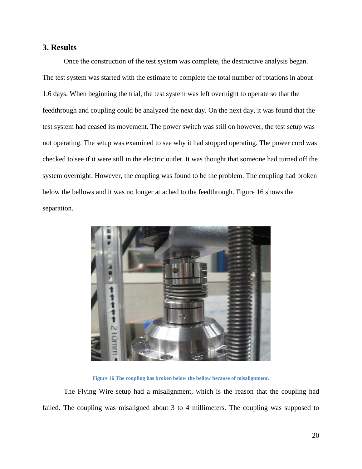## <span id="page-20-0"></span>**3. Results**

Once the construction of the test system was complete, the destructive analysis began. The test system was started with the estimate to complete the total number of rotations in about 1.6 days. When beginning the trial, the test system was left overnight to operate so that the feedthrough and coupling could be analyzed the next day. On the next day, it was found that the test system had ceased its movement. The power switch was still on however, the test setup was not operating. The setup was examined to see why it had stopped operating. The power cord was checked to see if it were still in the electric outlet. It was thought that someone had turned off the system overnight. However, the coupling was found to be the problem. The coupling had broken below the bellows and it was no longer attached to the feedthrough. Figure 16 shows the separation.



**Figure 16 The coupling has broken below the bellow because of misalignment.**

The Flying Wire setup had a misalignment, which is the reason that the coupling had failed. The coupling was misaligned about 3 to 4 millimeters. The coupling was supposed to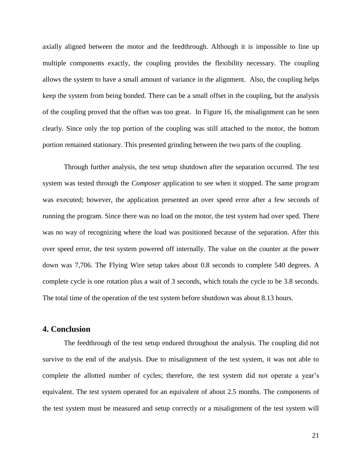axially aligned between the motor and the feedthrough. Although it is impossible to line up multiple components exactly, the coupling provides the flexibility necessary. The coupling allows the system to have a small amount of variance in the alignment. Also, the coupling helps keep the system from being bonded. There can be a small offset in the coupling, but the analysis of the coupling proved that the offset was too great. In Figure 16, the misalignment can be seen clearly. Since only the top portion of the coupling was still attached to the motor, the bottom portion remained stationary. This presented grinding between the two parts of the coupling.

Through further analysis, the test setup shutdown after the separation occurred. The test system was tested through the *Composer* application to see when it stopped. The same program was executed; however, the application presented an over speed error after a few seconds of running the program. Since there was no load on the motor, the test system had over sped. There was no way of recognizing where the load was positioned because of the separation. After this over speed error, the test system powered off internally. The value on the counter at the power down was 7,706. The Flying Wire setup takes about 0.8 seconds to complete 540 degrees. A complete cycle is one rotation plus a wait of 3 seconds, which totals the cycle to be 3.8 seconds. The total time of the operation of the test system before shutdown was about 8.13 hours.

## <span id="page-21-0"></span>**4. Conclusion**

The feedthrough of the test setup endured throughout the analysis. The coupling did not survive to the end of the analysis. Due to misalignment of the test system, it was not able to complete the allotted number of cycles; therefore, the test system did not operate a year's equivalent. The test system operated for an equivalent of about 2.5 months. The components of the test system must be measured and setup correctly or a misalignment of the test system will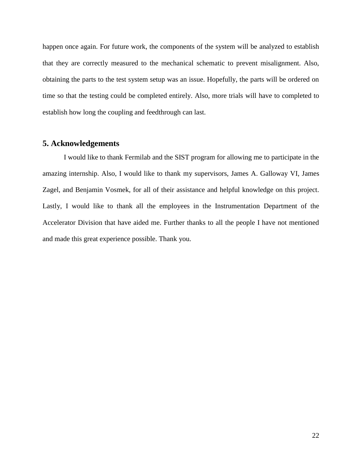happen once again. For future work, the components of the system will be analyzed to establish that they are correctly measured to the mechanical schematic to prevent misalignment. Also, obtaining the parts to the test system setup was an issue. Hopefully, the parts will be ordered on time so that the testing could be completed entirely. Also, more trials will have to completed to establish how long the coupling and feedthrough can last.

## <span id="page-22-0"></span>**5. Acknowledgements**

I would like to thank Fermilab and the SIST program for allowing me to participate in the amazing internship. Also, I would like to thank my supervisors, James A. Galloway VI, James Zagel, and Benjamin Vosmek, for all of their assistance and helpful knowledge on this project. Lastly, I would like to thank all the employees in the Instrumentation Department of the Accelerator Division that have aided me. Further thanks to all the people I have not mentioned and made this great experience possible. Thank you.